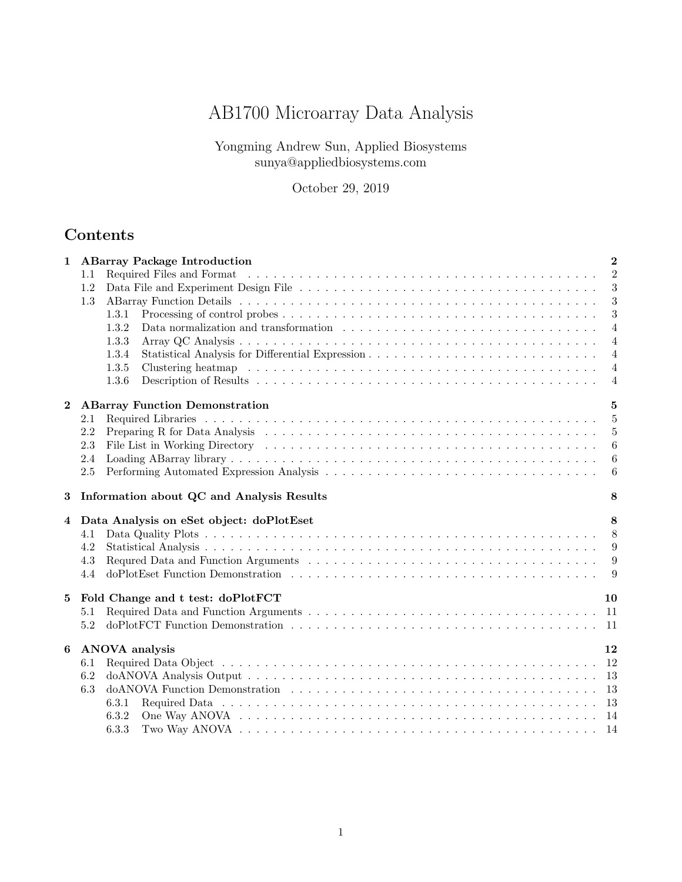# AB1700 Microarray Data Analysis

Yongming Andrew Sun, Applied Biosystems sunya@appliedbiosystems.com

October 29, 2019

# Contents

| 1        |         | <b>ABarray Package Introduction</b>                                                                                                                                                                                            | $\overline{2}$   |
|----------|---------|--------------------------------------------------------------------------------------------------------------------------------------------------------------------------------------------------------------------------------|------------------|
|          | 1.1     | Required Files and Format (Alternative Alternative Alternative Alternative Alternative Alternative Alternative Alternative Alternative Alternative Alternative Alternative Alternative Alternative Alternative Alternative Alt | $\overline{2}$   |
|          | 1.2     |                                                                                                                                                                                                                                | 3                |
|          | 1.3     |                                                                                                                                                                                                                                | 3                |
|          |         | 1.3.1                                                                                                                                                                                                                          | 3                |
|          |         | 1.3.2                                                                                                                                                                                                                          | $\overline{4}$   |
|          |         | 1.3.3                                                                                                                                                                                                                          | $\overline{4}$   |
|          |         | 1.3.4                                                                                                                                                                                                                          | $\overline{4}$   |
|          |         | 1.3.5                                                                                                                                                                                                                          | $\overline{4}$   |
|          |         | 1.3.6                                                                                                                                                                                                                          | $\overline{4}$   |
| $\bf{2}$ |         | <b>ABarray Function Demonstration</b>                                                                                                                                                                                          | 5                |
|          | 2.1     |                                                                                                                                                                                                                                | -5               |
|          | 2.2     |                                                                                                                                                                                                                                | $\overline{5}$   |
|          | 2.3     |                                                                                                                                                                                                                                | $\boldsymbol{6}$ |
|          | 2.4     |                                                                                                                                                                                                                                | 6                |
|          | $2.5\,$ |                                                                                                                                                                                                                                | $\boldsymbol{6}$ |
| 3        |         | Information about QC and Analysis Results                                                                                                                                                                                      | 8                |
| 4        |         | Data Analysis on eSet object: doPlotEset                                                                                                                                                                                       | 8                |
|          | 4.1     |                                                                                                                                                                                                                                | 8                |
|          | 4.2     |                                                                                                                                                                                                                                | 9                |
|          | 4.3     |                                                                                                                                                                                                                                | 9                |
|          | 4.4     |                                                                                                                                                                                                                                | 9                |
|          |         |                                                                                                                                                                                                                                |                  |
| 5        |         | Fold Change and t test: doPlotFCT                                                                                                                                                                                              | 10               |
|          | 5.1     |                                                                                                                                                                                                                                | -11              |
|          | 5.2     |                                                                                                                                                                                                                                |                  |
| 6        |         | <b>ANOVA</b> analysis                                                                                                                                                                                                          | 12               |
|          | 6.1     |                                                                                                                                                                                                                                | -12              |
|          | 6.2     |                                                                                                                                                                                                                                |                  |
|          | 6.3     |                                                                                                                                                                                                                                |                  |
|          |         | 6.3.1                                                                                                                                                                                                                          |                  |
|          |         | 6.3.2                                                                                                                                                                                                                          |                  |
|          |         | 6.3.3                                                                                                                                                                                                                          |                  |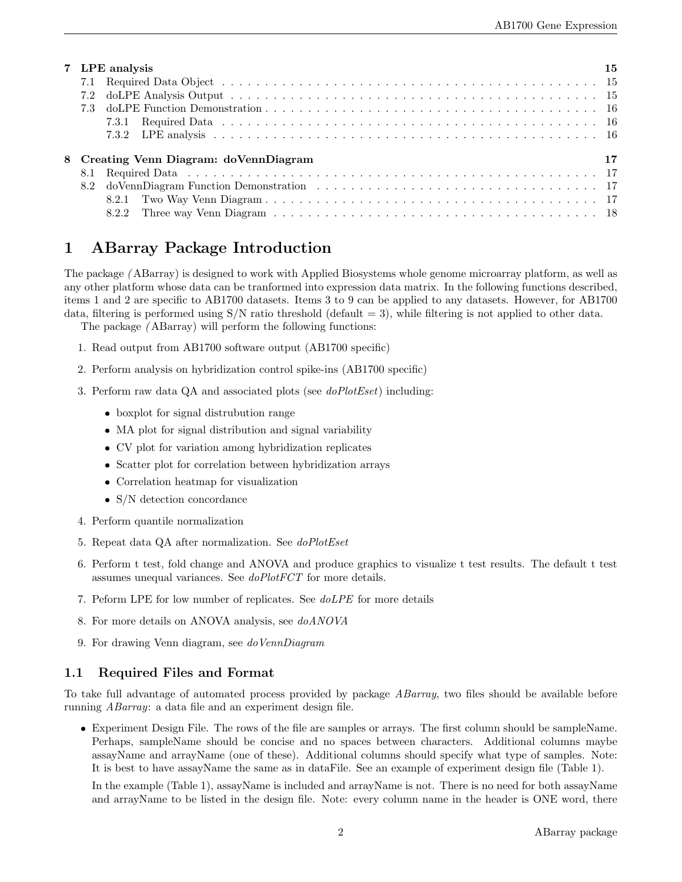| 7 LPE analysis                         | 15 |
|----------------------------------------|----|
|                                        |    |
|                                        |    |
|                                        |    |
|                                        |    |
|                                        |    |
| 8 Creating Venn Diagram: doVennDiagram | 17 |
|                                        |    |
|                                        |    |
|                                        |    |
|                                        |    |

# 1 ABarray Package Introduction

The package ( ABarray) is designed to work with Applied Biosystems whole genome microarray platform, as well as any other platform whose data can be tranformed into expression data matrix. In the following functions described, items 1 and 2 are specific to AB1700 datasets. Items 3 to 9 can be applied to any datasets. However, for AB1700 data, filtering is performed using  $S/N$  ratio threshold (default  $= 3$ ), while filtering is not applied to other data.

The package ( ABarray) will perform the following functions:

- 1. Read output from AB1700 software output (AB1700 specific)
- 2. Perform analysis on hybridization control spike-ins (AB1700 specific)
- 3. Perform raw data QA and associated plots (see doPlotEset) including:
	- boxplot for signal distrubution range
	- MA plot for signal distribution and signal variability
	- CV plot for variation among hybridization replicates
	- Scatter plot for correlation between hybridization arrays
	- Correlation heatmap for visualization
	- S/N detection concordance
- 4. Perform quantile normalization
- 5. Repeat data QA after normalization. See doPlotEset
- 6. Perform t test, fold change and ANOVA and produce graphics to visualize t test results. The default t test assumes unequal variances. See doPlotFCT for more details.
- 7. Peform LPE for low number of replicates. See doLPE for more details
- 8. For more details on ANOVA analysis, see doANOVA
- 9. For drawing Venn diagram, see doVennDiagram

## 1.1 Required Files and Format

To take full advantage of automated process provided by package ABarray, two files should be available before running ABarray: a data file and an experiment design file.

 Experiment Design File. The rows of the file are samples or arrays. The first column should be sampleName. Perhaps, sampleName should be concise and no spaces between characters. Additional columns maybe assayName and arrayName (one of these). Additional columns should specify what type of samples. Note: It is best to have assayName the same as in dataFile. See an example of experiment design file (Table 1).

In the example (Table 1), assayName is included and arrayName is not. There is no need for both assayName and arrayName to be listed in the design file. Note: every column name in the header is ONE word, there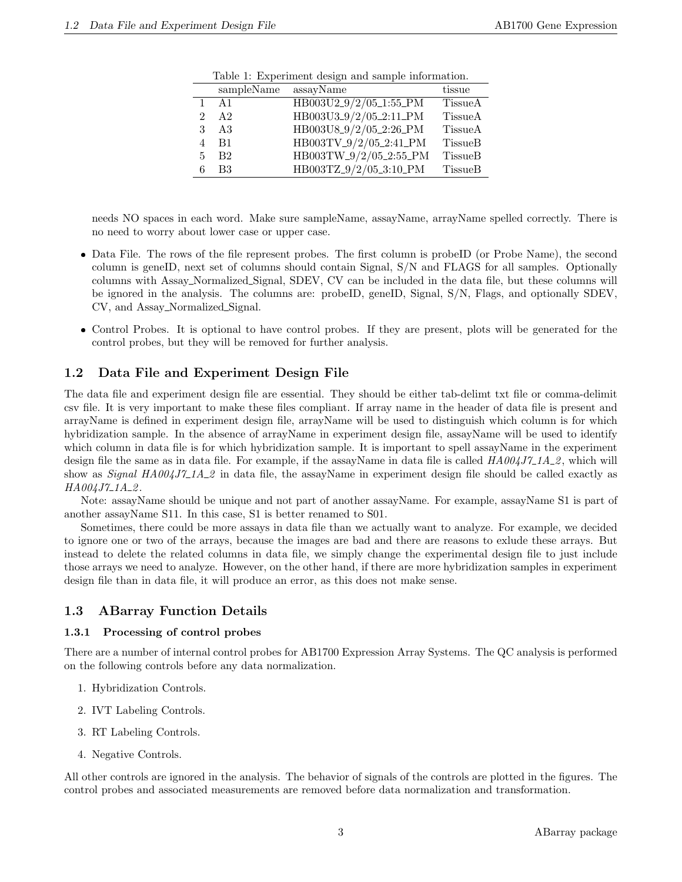|                | rable 1: Experiment design and sample information. |                        |                |
|----------------|----------------------------------------------------|------------------------|----------------|
|                | sampleName                                         | assayName              | tissue         |
| $\mathbf{1}$   | A <sub>1</sub>                                     | HB003U2_9/2/05_1:55_PM | TissueA        |
| $\mathfrak{D}$ | A2                                                 | HB003U3_9/2/05_2:11_PM | <b>TissueA</b> |
| 3              | A3                                                 | HB003U8_9/2/05_2:26_PM | <b>TissueA</b> |
| $\overline{4}$ | B1                                                 | HB003TV_9/2/05_2:41_PM | <b>TissueB</b> |
| $\mathbf{5}$   | B2                                                 | HB003TW_9/2/05_2:55_PM | <b>TissueB</b> |
| 6              | B <sub>3</sub>                                     | HB003TZ_9/2/05_3:10_PM | <b>TissueB</b> |

Table 1: Experiment design and sample information.

needs NO spaces in each word. Make sure sampleName, assayName, arrayName spelled correctly. There is no need to worry about lower case or upper case.

- Data File. The rows of the file represent probes. The first column is probeID (or Probe Name), the second column is geneID, next set of columns should contain Signal, S/N and FLAGS for all samples. Optionally columns with Assay Normalized Signal, SDEV, CV can be included in the data file, but these columns will be ignored in the analysis. The columns are: probeID, geneID, Signal, S/N, Flags, and optionally SDEV, CV, and Assay Normalized Signal.
- Control Probes. It is optional to have control probes. If they are present, plots will be generated for the control probes, but they will be removed for further analysis.

# 1.2 Data File and Experiment Design File

The data file and experiment design file are essential. They should be either tab-delimt txt file or comma-delimit csv file. It is very important to make these files compliant. If array name in the header of data file is present and arrayName is defined in experiment design file, arrayName will be used to distinguish which column is for which hybridization sample. In the absence of arrayName in experiment design file, assayName will be used to identify which column in data file is for which hybridization sample. It is important to spell assayName in the experiment design file the same as in data file. For example, if the assayName in data file is called  $H A 004J7 \_1A \_2$ , which will show as *Signal HA004J7\_1A\_2* in data file, the assayName in experiment design file should be called exactly as  $HA004J7\_1A\_2$ .

Note: assayName should be unique and not part of another assayName. For example, assayName S1 is part of another assayName S11. In this case, S1 is better renamed to S01.

Sometimes, there could be more assays in data file than we actually want to analyze. For example, we decided to ignore one or two of the arrays, because the images are bad and there are reasons to exlude these arrays. But instead to delete the related columns in data file, we simply change the experimental design file to just include those arrays we need to analyze. However, on the other hand, if there are more hybridization samples in experiment design file than in data file, it will produce an error, as this does not make sense.

## 1.3 ABarray Function Details

### 1.3.1 Processing of control probes

There are a number of internal control probes for AB1700 Expression Array Systems. The QC analysis is performed on the following controls before any data normalization.

- 1. Hybridization Controls.
- 2. IVT Labeling Controls.
- 3. RT Labeling Controls.
- 4. Negative Controls.

All other controls are ignored in the analysis. The behavior of signals of the controls are plotted in the figures. The control probes and associated measurements are removed before data normalization and transformation.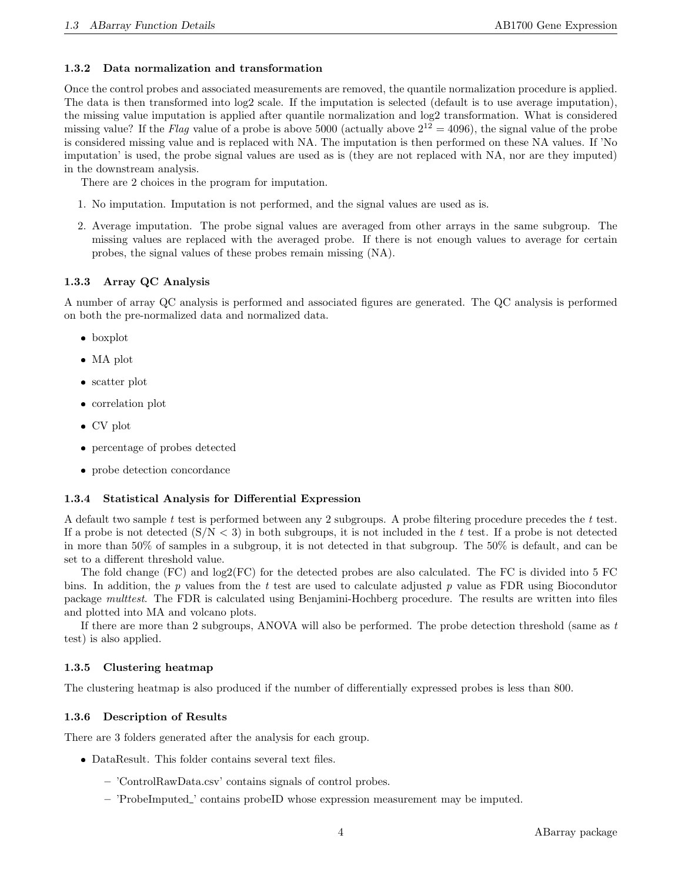#### 1.3.2 Data normalization and transformation

Once the control probes and associated measurements are removed, the quantile normalization procedure is applied. The data is then transformed into log2 scale. If the imputation is selected (default is to use average imputation), the missing value imputation is applied after quantile normalization and log2 transformation. What is considered missing value? If the Flag value of a probe is above 5000 (actually above  $2^{12} = 4096$ ), the signal value of the probe is considered missing value and is replaced with NA. The imputation is then performed on these NA values. If 'No imputation' is used, the probe signal values are used as is (they are not replaced with NA, nor are they imputed) in the downstream analysis.

There are 2 choices in the program for imputation.

- 1. No imputation. Imputation is not performed, and the signal values are used as is.
- 2. Average imputation. The probe signal values are averaged from other arrays in the same subgroup. The missing values are replaced with the averaged probe. If there is not enough values to average for certain probes, the signal values of these probes remain missing (NA).

### 1.3.3 Array QC Analysis

A number of array QC analysis is performed and associated figures are generated. The QC analysis is performed on both the pre-normalized data and normalized data.

- boxplot
- MA plot
- scatter plot
- correlation plot
- CV plot
- percentage of probes detected
- probe detection concordance

#### 1.3.4 Statistical Analysis for Differential Expression

A default two sample  $t$  test is performed between any 2 subgroups. A probe filtering procedure precedes the  $t$  test. If a probe is not detected  $(S/N < 3)$  in both subgroups, it is not included in the t test. If a probe is not detected in more than 50% of samples in a subgroup, it is not detected in that subgroup. The 50% is default, and can be set to a different threshold value.

The fold change (FC) and log2(FC) for the detected probes are also calculated. The FC is divided into 5 FC bins. In addition, the  $p$  values from the  $t$  test are used to calculate adjusted  $p$  value as FDR using Biocondutor package multtest. The FDR is calculated using Benjamini-Hochberg procedure. The results are written into files and plotted into MA and volcano plots.

If there are more than 2 subgroups, ANOVA will also be performed. The probe detection threshold (same as t test) is also applied.

### 1.3.5 Clustering heatmap

The clustering heatmap is also produced if the number of differentially expressed probes is less than 800.

#### 1.3.6 Description of Results

There are 3 folders generated after the analysis for each group.

- DataResult. This folder contains several text files.
	- 'ControlRawData.csv' contains signals of control probes.
	- 'ProbeImputed ' contains probeID whose expression measurement may be imputed.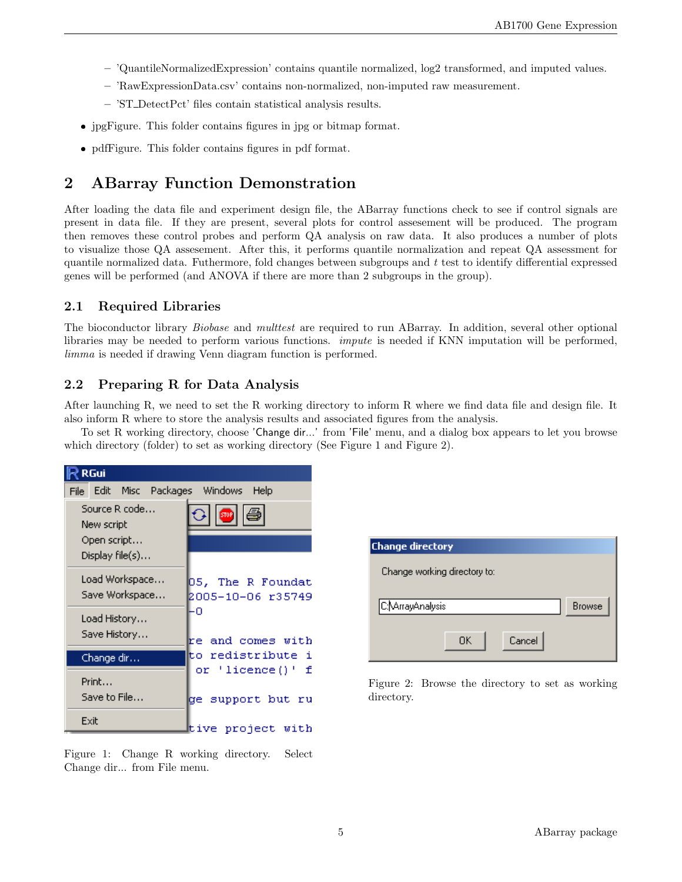- 'QuantileNormalizedExpression' contains quantile normalized, log2 transformed, and imputed values.
- 'RawExpressionData.csv' contains non-normalized, non-imputed raw measurement.
- 'ST DetectPct' files contain statistical analysis results.
- jpgFigure. This folder contains figures in jpg or bitmap format.
- pdfFigure. This folder contains figures in pdf format.

# 2 ABarray Function Demonstration

After loading the data file and experiment design file, the ABarray functions check to see if control signals are present in data file. If they are present, several plots for control assesement will be produced. The program then removes these control probes and perform QA analysis on raw data. It also produces a number of plots to visualize those QA assesement. After this, it performs quantile normalization and repeat QA assessment for quantile normalized data. Futhermore, fold changes between subgroups and  $t$  test to identify differential expressed genes will be performed (and ANOVA if there are more than 2 subgroups in the group).

# 2.1 Required Libraries

The bioconductor library *Biobase* and *multtest* are required to run ABarray. In addition, several other optional libraries may be needed to perform various functions. impute is needed if KNN imputation will be performed, limma is needed if drawing Venn diagram function is performed.

# 2.2 Preparing R for Data Analysis

After launching R, we need to set the R working directory to inform R where we find data file and design file. It also inform R where to store the analysis results and associated figures from the analysis.

To set R working directory, choose 'Change dir...' from 'File' menu, and a dialog box appears to let you browse which directory (folder) to set as working directory (See Figure 1 and Figure 2).

| <b>RGui</b>                                                   |                                        |  |  |  |  |
|---------------------------------------------------------------|----------------------------------------|--|--|--|--|
| File Edit Misc Packages Windows Help                          |                                        |  |  |  |  |
| Source R code<br>New script<br>Open script<br>Display file(s) | 811 (3)                                |  |  |  |  |
| Load Workspace<br>Save Workspace                              | 05, The R Foundat<br>2005-10-06 r35749 |  |  |  |  |
| Load History<br>Save History…                                 | ۰0<br>re and comes with                |  |  |  |  |
| Change dir                                                    | to redistribute i                      |  |  |  |  |
| Print<br>Save to File…                                        | or 'licence()' f<br>ge support but ru  |  |  |  |  |
| Exit                                                          | tive project with                      |  |  |  |  |

| <b>Change directory</b>           |               |
|-----------------------------------|---------------|
| Change working directory to:      |               |
| C:NArrayAnalysis<br>Cancel<br>0K. | <b>Browse</b> |

Figure 2: Browse the directory to set as working directory.

Figure 1: Change R working directory. Select Change dir... from File menu.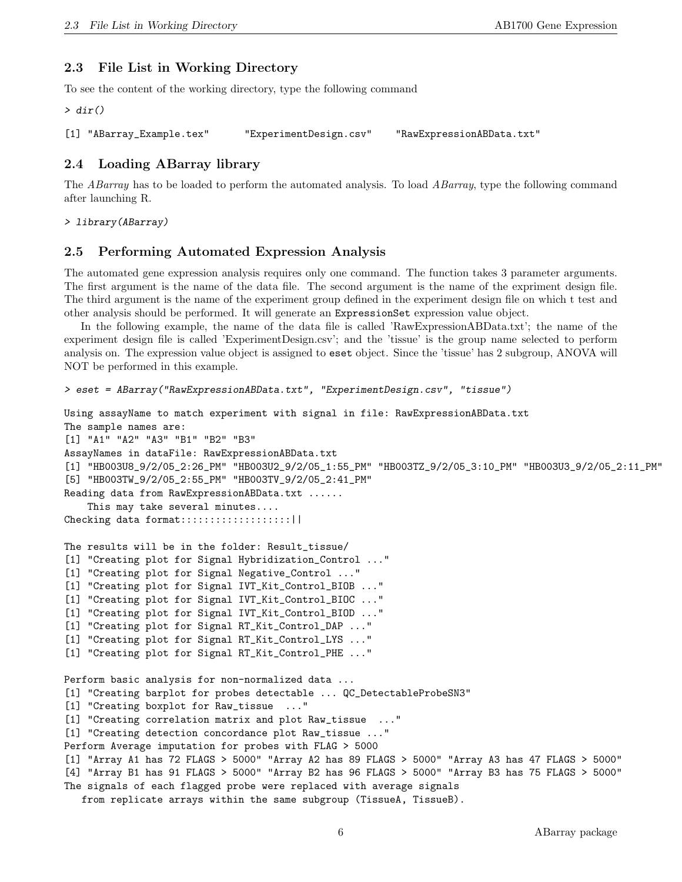### 2.3 File List in Working Directory

To see the content of the working directory, type the following command

> dir()

```
[1] "ABarray_Example.tex" "ExperimentDesign.csv" "RawExpressionABData.txt"
```
### 2.4 Loading ABarray library

The ABarray has to be loaded to perform the automated analysis. To load ABarray, type the following command after launching R.

> library(ABarray)

### 2.5 Performing Automated Expression Analysis

The automated gene expression analysis requires only one command. The function takes 3 parameter arguments. The first argument is the name of the data file. The second argument is the name of the expriment design file. The third argument is the name of the experiment group defined in the experiment design file on which t test and other analysis should be performed. It will generate an ExpressionSet expression value object.

In the following example, the name of the data file is called 'RawExpressionABData.txt'; the name of the experiment design file is called 'ExperimentDesign.csv'; and the 'tissue' is the group name selected to perform analysis on. The expression value object is assigned to eset object. Since the 'tissue' has 2 subgroup, ANOVA will NOT be performed in this example.

```
> eset = ABarray("RawExpressionABData.txt", "ExperimentDesign.csv", "tissue")
Using assayName to match experiment with signal in file: RawExpressionABData.txt
The sample names are:
[1] "A1" "A2" "A3" "B1" "B2" "B3"
AssayNames in dataFile: RawExpressionABData.txt
[1] "HB003U8_9/2/05_2:26_PM" "HB003U2_9/2/05_1:55_PM" "HB003TZ_9/2/05_3:10_PM" "HB003U3_9/2/05_2:11_PM"
[5] "HB003TW_9/2/05_2:55_PM" "HB003TV_9/2/05_2:41_PM"
Reading data from RawExpressionABData.txt ......
   This may take several minutes....
Checking data format::::::::::::::::::||
The results will be in the folder: Result_tissue/
[1] "Creating plot for Signal Hybridization_Control ..."
[1] "Creating plot for Signal Negative_Control ..."
[1] "Creating plot for Signal IVT_Kit_Control_BIOB ..."
[1] "Creating plot for Signal IVT_Kit_Control_BIOC ..."
[1] "Creating plot for Signal IVT_Kit_Control_BIOD ..."
[1] "Creating plot for Signal RT_Kit_Control_DAP ..."
[1] "Creating plot for Signal RT_Kit_Control_LYS ..."
[1] "Creating plot for Signal RT_Kit_Control_PHE ..."
Perform basic analysis for non-normalized data ...
[1] "Creating barplot for probes detectable ... QC_DetectableProbeSN3"
[1] "Creating boxplot for Raw_tissue ..."
[1] "Creating correlation matrix and plot Raw_tissue ..."
[1] "Creating detection concordance plot Raw_tissue ..."
Perform Average imputation for probes with FLAG > 5000
[1] "Array A1 has 72 FLAGS > 5000" "Array A2 has 89 FLAGS > 5000" "Array A3 has 47 FLAGS > 5000"
[4] "Array B1 has 91 FLAGS > 5000" "Array B2 has 96 FLAGS > 5000" "Array B3 has 75 FLAGS > 5000"
The signals of each flagged probe were replaced with average signals
   from replicate arrays within the same subgroup (TissueA, TissueB).
```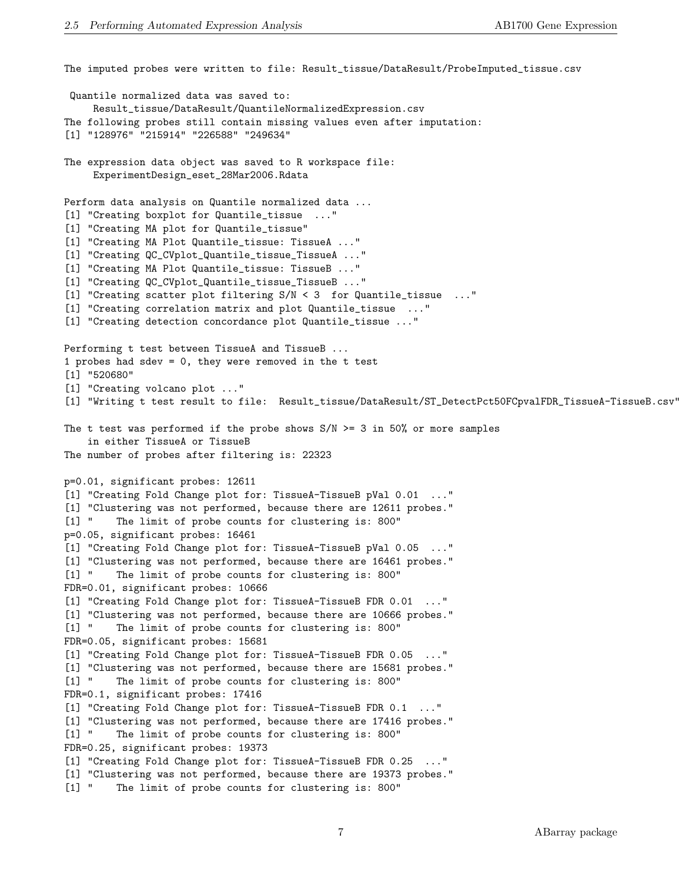The imputed probes were written to file: Result\_tissue/DataResult/ProbeImputed\_tissue.csv Quantile normalized data was saved to: Result\_tissue/DataResult/QuantileNormalizedExpression.csv The following probes still contain missing values even after imputation: [1] "128976" "215914" "226588" "249634" The expression data object was saved to R workspace file: ExperimentDesign\_eset\_28Mar2006.Rdata Perform data analysis on Quantile normalized data ... [1] "Creating boxplot for Quantile\_tissue ..." [1] "Creating MA plot for Quantile\_tissue" [1] "Creating MA Plot Quantile\_tissue: TissueA ..." [1] "Creating QC\_CVplot\_Quantile\_tissue\_TissueA ..." [1] "Creating MA Plot Quantile\_tissue: TissueB ..." [1] "Creating QC\_CVplot\_Quantile\_tissue\_TissueB ..." [1] "Creating scatter plot filtering S/N < 3 for Quantile\_tissue ..." [1] "Creating correlation matrix and plot Quantile\_tissue ..." [1] "Creating detection concordance plot Quantile\_tissue ..." Performing t test between TissueA and TissueB ... 1 probes had sdev = 0, they were removed in the t test [1] "520680" [1] "Creating volcano plot ..." [1] "Writing t test result to file: Result\_tissue/DataResult/ST\_DetectPct50FCpvalFDR\_TissueA-TissueB.csv" The t test was performed if the probe shows  $S/N \ge 3$  in 50% or more samples in either TissueA or TissueB The number of probes after filtering is: 22323 p=0.01, significant probes: 12611 [1] "Creating Fold Change plot for: TissueA-TissueB pVal 0.01 ..." [1] "Clustering was not performed, because there are 12611 probes." [1] " The limit of probe counts for clustering is: 800" p=0.05, significant probes: 16461 [1] "Creating Fold Change plot for: TissueA-TissueB pVal 0.05 ..." [1] "Clustering was not performed, because there are 16461 probes." [1] " The limit of probe counts for clustering is: 800" FDR=0.01, significant probes: 10666 [1] "Creating Fold Change plot for: TissueA-TissueB FDR 0.01 ..." [1] "Clustering was not performed, because there are 10666 probes." [1] " The limit of probe counts for clustering is: 800" FDR=0.05, significant probes: 15681 [1] "Creating Fold Change plot for: TissueA-TissueB FDR 0.05 ..." [1] "Clustering was not performed, because there are 15681 probes." [1] " The limit of probe counts for clustering is: 800" FDR=0.1, significant probes: 17416 [1] "Creating Fold Change plot for: TissueA-TissueB FDR 0.1 ..." [1] "Clustering was not performed, because there are 17416 probes." [1] " The limit of probe counts for clustering is: 800" FDR=0.25, significant probes: 19373 [1] "Creating Fold Change plot for: TissueA-TissueB FDR 0.25 ..." [1] "Clustering was not performed, because there are 19373 probes." [1] " The limit of probe counts for clustering is: 800"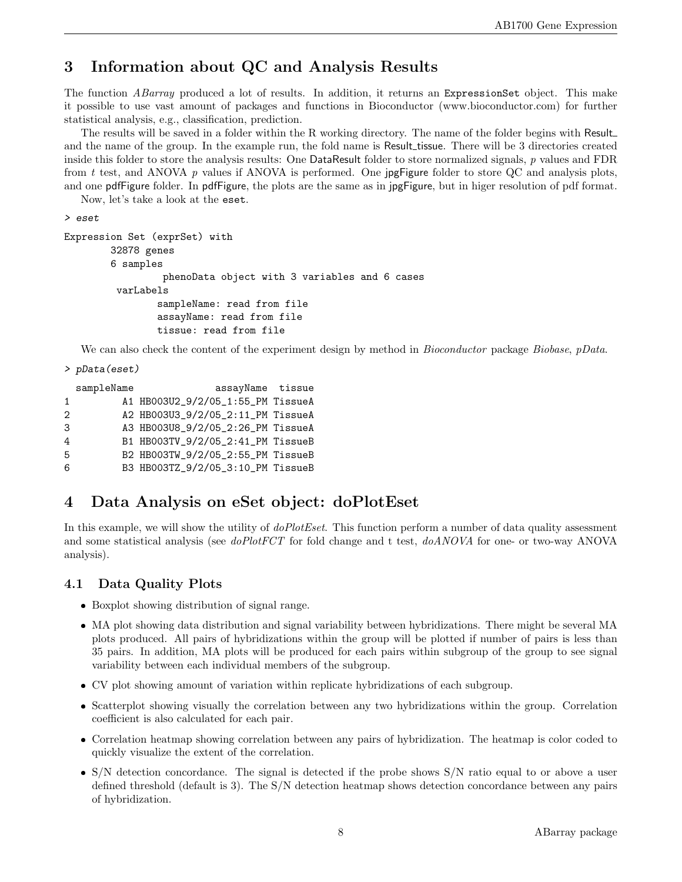# 3 Information about QC and Analysis Results

The function *ABarray* produced a lot of results. In addition, it returns an ExpressionSet object. This make it possible to use vast amount of packages and functions in Bioconductor (www.bioconductor.com) for further statistical analysis, e.g., classification, prediction.

The results will be saved in a folder within the R working directory. The name of the folder begins with Result and the name of the group. In the example run, the fold name is Result\_tissue. There will be 3 directories created inside this folder to store the analysis results: One DataResult folder to store normalized signals, p values and FDR from t test, and ANOVA p values if ANOVA is performed. One jpgFigure folder to store QC and analysis plots, and one pdfFigure folder. In pdfFigure, the plots are the same as in jpgFigure, but in higer resolution of pdf format.

Now, let's take a look at the eset.

```
> eset
```

```
Expression Set (exprSet) with
        32878 genes
        6 samples
                 phenoData object with 3 variables and 6 cases
         varLabels
                sampleName: read from file
                assayName: read from file
                tissue: read from file
```
We can also check the content of the experiment design by method in *Bioconductor* package *Biobase*, *pData*.

```
> pData(eset)
```

|              | sampleName | assayName tissue                  |  |
|--------------|------------|-----------------------------------|--|
| $\mathbf{1}$ |            | A1 HB003U2_9/2/05_1:55_PM TissueA |  |
| 2            |            | A2 HB003U3_9/2/05_2:11_PM TissueA |  |
| 3            |            | A3 HB003U8_9/2/05_2:26_PM TissueA |  |
| 4            |            | B1 HB003TV_9/2/05_2:41_PM TissueB |  |
| 5            |            | B2 HB003TW_9/2/05_2:55_PM TissueB |  |
| 6            |            | B3 HB003TZ_9/2/05_3:10_PM TissueB |  |

# 4 Data Analysis on eSet object: doPlotEset

In this example, we will show the utility of *doPlotEset*. This function perform a number of data quality assessment and some statistical analysis (see doPlotFCT for fold change and t test, doANOVA for one- or two-way ANOVA analysis).

# 4.1 Data Quality Plots

- Boxplot showing distribution of signal range.
- MA plot showing data distribution and signal variability between hybridizations. There might be several MA plots produced. All pairs of hybridizations within the group will be plotted if number of pairs is less than 35 pairs. In addition, MA plots will be produced for each pairs within subgroup of the group to see signal variability between each individual members of the subgroup.
- CV plot showing amount of variation within replicate hybridizations of each subgroup.
- Scatterplot showing visually the correlation between any two hybridizations within the group. Correlation coefficient is also calculated for each pair.
- Correlation heatmap showing correlation between any pairs of hybridization. The heatmap is color coded to quickly visualize the extent of the correlation.
- S/N detection concordance. The signal is detected if the probe shows S/N ratio equal to or above a user defined threshold (default is 3). The S/N detection heatmap shows detection concordance between any pairs of hybridization.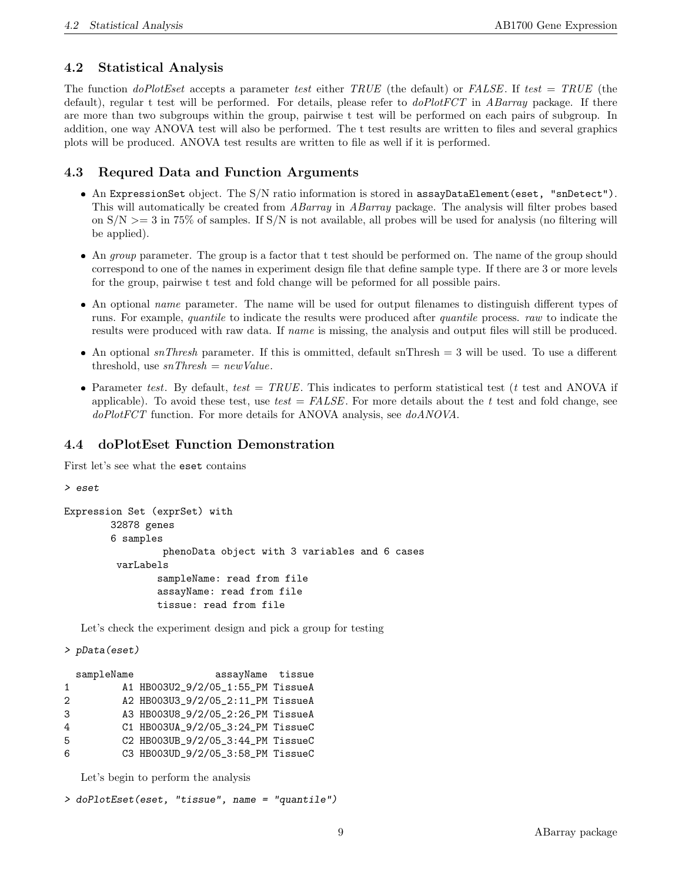### 4.2 Statistical Analysis

The function *doPlotEset* accepts a parameter test either TRUE (the default) or FALSE. If test = TRUE (the default), regular t test will be performed. For details, please refer to  $d\rho PlotFCT$  in ABarray package. If there are more than two subgroups within the group, pairwise t test will be performed on each pairs of subgroup. In addition, one way ANOVA test will also be performed. The t test results are written to files and several graphics plots will be produced. ANOVA test results are written to file as well if it is performed.

### 4.3 Requred Data and Function Arguments

- An ExpressionSet object. The S/N ratio information is stored in assayDataElement(eset, "snDetect"). This will automatically be created from ABarray in ABarray package. The analysis will filter probes based on  $S/N \geq 3$  in 75% of samples. If  $S/N$  is not available, all probes will be used for analysis (no filtering will be applied).
- $\bullet$  An *group* parameter. The group is a factor that t test should be performed on. The name of the group should correspond to one of the names in experiment design file that define sample type. If there are 3 or more levels for the group, pairwise t test and fold change will be peformed for all possible pairs.
- An optional *name* parameter. The name will be used for output filenames to distinguish different types of runs. For example, quantile to indicate the results were produced after quantile process. raw to indicate the results were produced with raw data. If name is missing, the analysis and output files will still be produced.
- An optional  $snThresh$  parameter. If this is ommitted, default snThresh = 3 will be used. To use a different threshold, use  $snThresh = newValue$ .
- Parameter test. By default, test = TRUE. This indicates to perform statistical test (t test and ANOVA if applicable). To avoid these test, use test =  $FALSE$ . For more details about the t test and fold change, see doPlotFCT function. For more details for ANOVA analysis, see doANOVA.

### 4.4 doPlotEset Function Demonstration

First let's see what the eset contains

```
> eset
```

```
Expression Set (exprSet) with
        32878 genes
        6 samples
                 phenoData object with 3 variables and 6 cases
         varLabels
                sampleName: read from file
                assayName: read from file
                tissue: read from file
```
Let's check the experiment design and pick a group for testing

```
> pData(eset)
```

|                   | sampleName | assayName tissue                  |  |
|-------------------|------------|-----------------------------------|--|
| $\mathbf{1}$      |            | A1 HB003U2_9/2/05_1:55_PM TissueA |  |
| $\mathcal{D}_{1}$ |            | A2 HB003U3_9/2/05_2:11_PM TissueA |  |
| 3                 |            | A3 HB003U8_9/2/05_2:26_PM TissueA |  |
| 4                 |            | C1 HB003UA_9/2/05_3:24_PM TissueC |  |
| 5                 |            | C2 HB003UB_9/2/05_3:44_PM TissueC |  |
| 6                 |            | C3 HB003UD_9/2/05_3:58_PM TissueC |  |

Let's begin to perform the analysis

```
> doPlotEset(eset, "tissue", name = "quantile")
```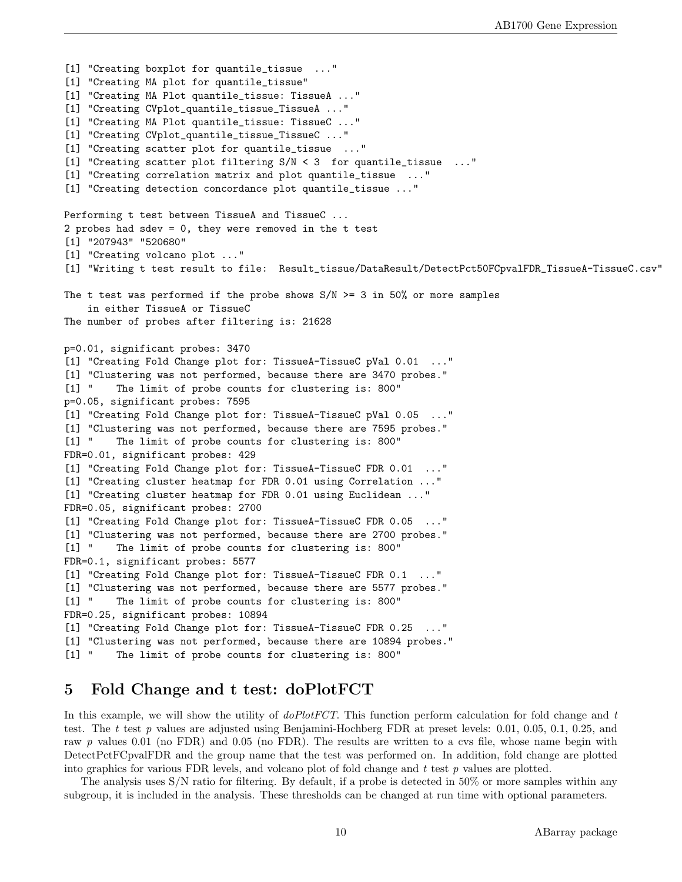[1] "Creating boxplot for quantile\_tissue ..." [1] "Creating MA plot for quantile\_tissue" [1] "Creating MA Plot quantile\_tissue: TissueA ..." [1] "Creating CVplot\_quantile\_tissue\_TissueA ..." [1] "Creating MA Plot quantile\_tissue: TissueC ..." [1] "Creating CVplot\_quantile\_tissue\_TissueC ..." [1] "Creating scatter plot for quantile\_tissue ..." [1] "Creating scatter plot filtering S/N < 3 for quantile\_tissue ..." [1] "Creating correlation matrix and plot quantile\_tissue ..." [1] "Creating detection concordance plot quantile\_tissue ..." Performing t test between TissueA and TissueC ... 2 probes had sdev = 0, they were removed in the t test [1] "207943" "520680" [1] "Creating volcano plot ..." [1] "Writing t test result to file: Result\_tissue/DataResult/DetectPct50FCpvalFDR\_TissueA-TissueC.csv" The t test was performed if the probe shows  $S/N \ge 3$  in 50% or more samples in either TissueA or TissueC The number of probes after filtering is: 21628 p=0.01, significant probes: 3470 [1] "Creating Fold Change plot for: TissueA-TissueC pVal 0.01 ..." [1] "Clustering was not performed, because there are 3470 probes." [1] " The limit of probe counts for clustering is: 800" p=0.05, significant probes: 7595 [1] "Creating Fold Change plot for: TissueA-TissueC pVal 0.05 ..." [1] "Clustering was not performed, because there are 7595 probes." [1] " The limit of probe counts for clustering is: 800" FDR=0.01, significant probes: 429 [1] "Creating Fold Change plot for: TissueA-TissueC FDR 0.01 ..." [1] "Creating cluster heatmap for FDR 0.01 using Correlation ..." [1] "Creating cluster heatmap for FDR 0.01 using Euclidean ..." FDR=0.05, significant probes: 2700 [1] "Creating Fold Change plot for: TissueA-TissueC FDR 0.05 ..." [1] "Clustering was not performed, because there are 2700 probes." [1] " The limit of probe counts for clustering is: 800" FDR=0.1, significant probes: 5577 [1] "Creating Fold Change plot for: TissueA-TissueC FDR 0.1 ..." [1] "Clustering was not performed, because there are 5577 probes." [1] " The limit of probe counts for clustering is: 800" FDR=0.25, significant probes: 10894 [1] "Creating Fold Change plot for: TissueA-TissueC FDR 0.25 [1] "Clustering was not performed, because there are 10894 probes." [1] " The limit of probe counts for clustering is: 800"

# 5 Fold Change and t test: doPlotFCT

In this example, we will show the utility of  $doPlotFCT$ . This function perform calculation for fold change and  $t$ test. The t test p values are adjusted using Benjamini-Hochberg FDR at preset levels:  $0.01, 0.05, 0.1, 0.25,$  and raw p values 0.01 (no FDR) and 0.05 (no FDR). The results are written to a cvs file, whose name begin with DetectPctFCpvalFDR and the group name that the test was performed on. In addition, fold change are plotted into graphics for various FDR levels, and volcano plot of fold change and  $t$  test  $p$  values are plotted.

The analysis uses S/N ratio for filtering. By default, if a probe is detected in 50% or more samples within any subgroup, it is included in the analysis. These thresholds can be changed at run time with optional parameters.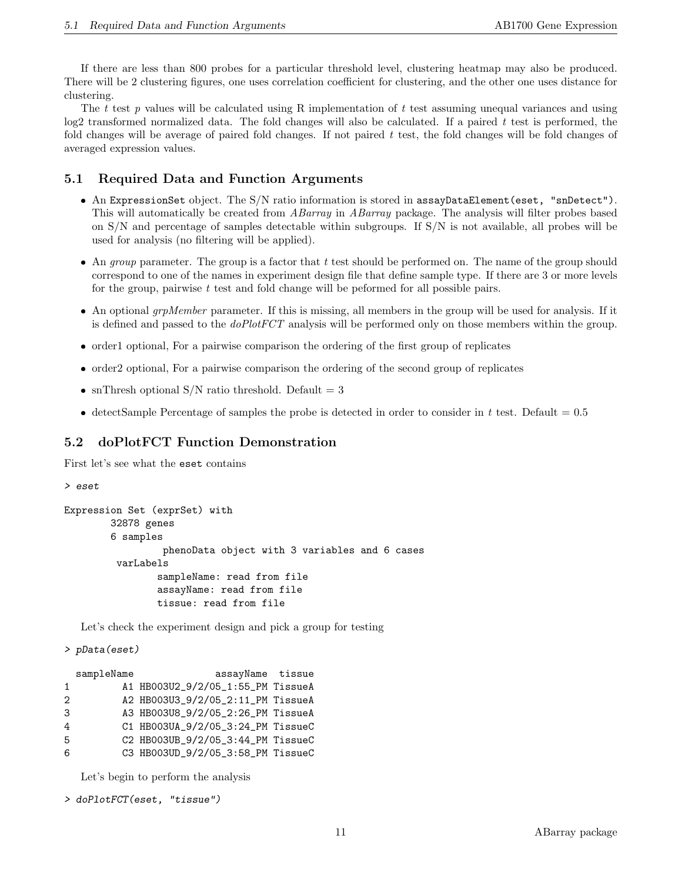If there are less than 800 probes for a particular threshold level, clustering heatmap may also be produced. There will be 2 clustering figures, one uses correlation coefficient for clustering, and the other one uses distance for clustering.

The t test p values will be calculated using R implementation of t test assuming unequal variances and using  $log2$  transformed normalized data. The fold changes will also be calculated. If a paired t test is performed, the fold changes will be average of paired fold changes. If not paired  $t$  test, the fold changes will be fold changes of averaged expression values.

### 5.1 Required Data and Function Arguments

- An ExpressionSet object. The S/N ratio information is stored in assayDataElement(eset, "snDetect"). This will automatically be created from ABarray in ABarray package. The analysis will filter probes based on S/N and percentage of samples detectable within subgroups. If S/N is not available, all probes will be used for analysis (no filtering will be applied).
- An *group* parameter. The group is a factor that  $t$  test should be performed on. The name of the group should correspond to one of the names in experiment design file that define sample type. If there are 3 or more levels for the group, pairwise  $t$  test and fold change will be peformed for all possible pairs.
- $\bullet$  An optional *grpMember* parameter. If this is missing, all members in the group will be used for analysis. If it is defined and passed to the *doPlotFCT* analysis will be performed only on those members within the group.
- order1 optional, For a pairwise comparison the ordering of the first group of replicates
- order2 optional, For a pairwise comparison the ordering of the second group of replicates
- snThresh optional S/N ratio threshold. Default  $= 3$
- detectSample Percentage of samples the probe is detected in order to consider in t test. Default =  $0.5$

### 5.2 doPlotFCT Function Demonstration

First let's see what the eset contains

#### > eset

```
Expression Set (exprSet) with
        32878 genes
        6 samples
                 phenoData object with 3 variables and 6 cases
         varLabels
                sampleName: read from file
                assayName: read from file
                tissue: read from file
```
Let's check the experiment design and pick a group for testing

```
> pData(eset)
```

|   | sampleName | assayName tissue                  |  |
|---|------------|-----------------------------------|--|
| 1 |            | A1 HB003U2_9/2/05_1:55_PM TissueA |  |
| 2 |            | A2 HB003U3_9/2/05_2:11_PM TissueA |  |
| 3 |            | A3 HB003U8_9/2/05_2:26_PM TissueA |  |
| 4 |            | C1 HB003UA_9/2/05_3:24_PM TissueC |  |
| 5 |            | C2 HB003UB_9/2/05_3:44_PM TissueC |  |
| 6 |            | C3 HB003UD_9/2/05_3:58_PM TissueC |  |

Let's begin to perform the analysis

```
> doPlotFCT(eset, "tissue")
```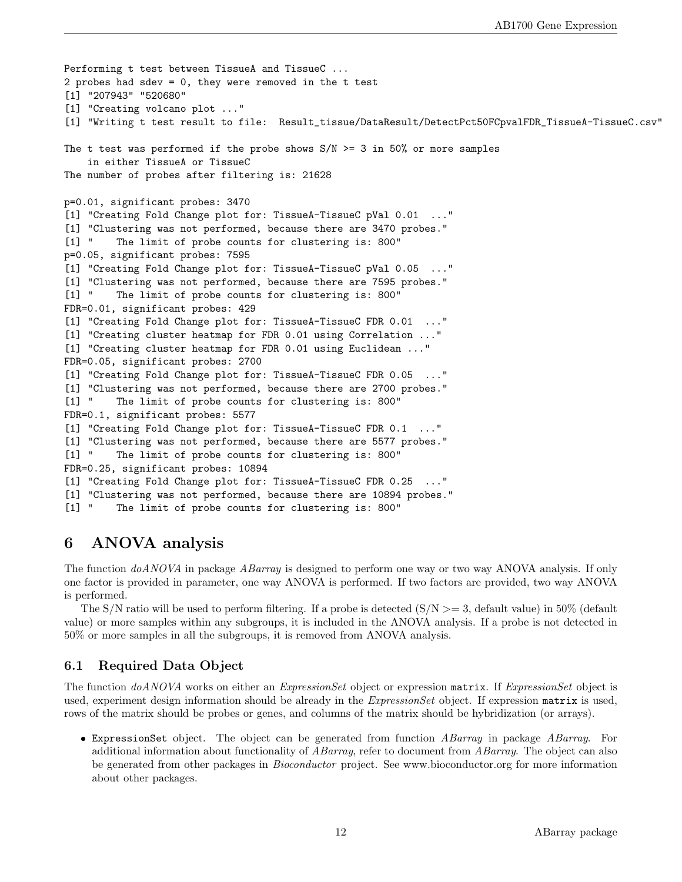```
Performing t test between TissueA and TissueC ...
2 probes had sdev = 0, they were removed in the t test
[1] "207943" "520680"
[1] "Creating volcano plot ..."
[1] "Writing t test result to file: Result_tissue/DataResult/DetectPct50FCpvalFDR_TissueA-TissueC.csv"
The t test was performed if the probe shows S/N \ge 3 in 50% or more samples
   in either TissueA or TissueC
The number of probes after filtering is: 21628
p=0.01, significant probes: 3470
[1] "Creating Fold Change plot for: TissueA-TissueC pVal 0.01 ..."
[1] "Clustering was not performed, because there are 3470 probes."
[1] " The limit of probe counts for clustering is: 800"
p=0.05, significant probes: 7595
[1] "Creating Fold Change plot for: TissueA-TissueC pVal 0.05 ..."
[1] "Clustering was not performed, because there are 7595 probes."
[1] " The limit of probe counts for clustering is: 800"
FDR=0.01, significant probes: 429
[1] "Creating Fold Change plot for: TissueA-TissueC FDR 0.01 ..."
[1] "Creating cluster heatmap for FDR 0.01 using Correlation ..."
[1] "Creating cluster heatmap for FDR 0.01 using Euclidean ..."
FDR=0.05, significant probes: 2700
[1] "Creating Fold Change plot for: TissueA-TissueC FDR 0.05 ..."
[1] "Clustering was not performed, because there are 2700 probes."
[1] " The limit of probe counts for clustering is: 800"
FDR=0.1, significant probes: 5577
[1] "Creating Fold Change plot for: TissueA-TissueC FDR 0.1 ..."
[1] "Clustering was not performed, because there are 5577 probes."
[1] " The limit of probe counts for clustering is: 800"
FDR=0.25, significant probes: 10894
[1] "Creating Fold Change plot for: TissueA-TissueC FDR 0.25 ..."
[1] "Clustering was not performed, because there are 10894 probes."
[1] " The limit of probe counts for clustering is: 800"
```
# 6 ANOVA analysis

The function  $doANOVA$  in package *ABarray* is designed to perform one way or two way ANOVA analysis. If only one factor is provided in parameter, one way ANOVA is performed. If two factors are provided, two way ANOVA is performed.

The S/N ratio will be used to perform filtering. If a probe is detected  $(S/N \geq 3$ , default value) in 50% (default value) or more samples within any subgroups, it is included in the ANOVA analysis. If a probe is not detected in 50% or more samples in all the subgroups, it is removed from ANOVA analysis.

# 6.1 Required Data Object

The function doANOVA works on either an *ExpressionSet* object or expression matrix. If *ExpressionSet* object is used, experiment design information should be already in the *ExpressionSet* object. If expression matrix is used, rows of the matrix should be probes or genes, and columns of the matrix should be hybridization (or arrays).

**ExpressionSet** object. The object can be generated from function ABarray in package ABarray. For additional information about functionality of *ABarray*, refer to document from *ABarray*. The object can also be generated from other packages in Bioconductor project. See www.bioconductor.org for more information about other packages.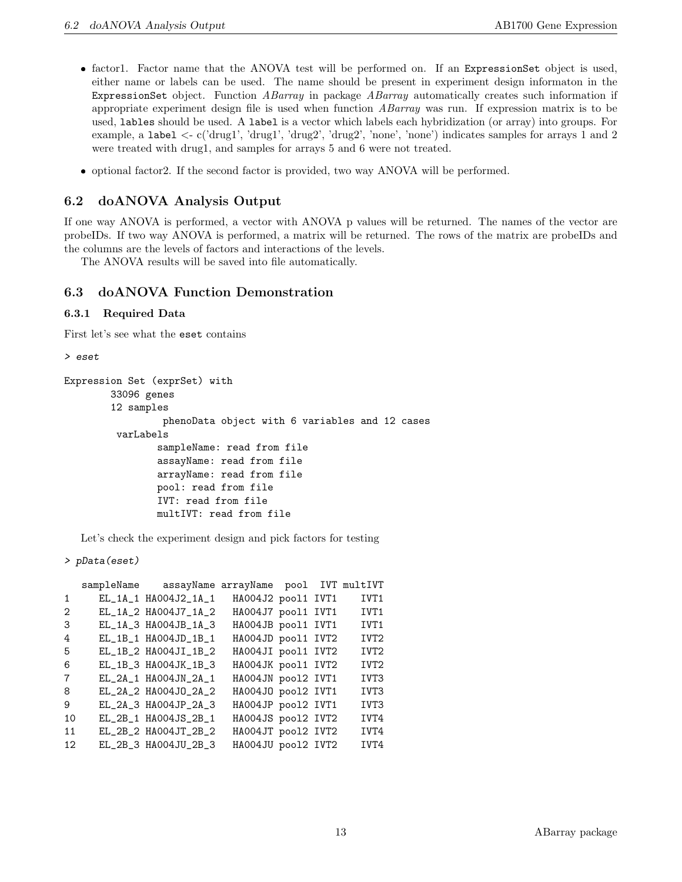- factor1. Factor name that the ANOVA test will be performed on. If an ExpressionSet object is used, either name or labels can be used. The name should be present in experiment design informaton in the ExpressionSet object. Function ABarray in package ABarray automatically creates such information if appropriate experiment design file is used when function ABarray was run. If expression matrix is to be used, lables should be used. A label is a vector which labels each hybridization (or array) into groups. For example, a label <- c('drug1', 'drug1', 'drug2', 'drug2', 'none', 'none') indicates samples for arrays 1 and 2 were treated with drug1, and samples for arrays 5 and 6 were not treated.
- optional factor2. If the second factor is provided, two way ANOVA will be performed.

## 6.2 doANOVA Analysis Output

If one way ANOVA is performed, a vector with ANOVA p values will be returned. The names of the vector are probeIDs. If two way ANOVA is performed, a matrix will be returned. The rows of the matrix are probeIDs and the columns are the levels of factors and interactions of the levels.

The ANOVA results will be saved into file automatically.

### 6.3 doANOVA Function Demonstration

#### 6.3.1 Required Data

First let's see what the eset contains

```
> eset
```

```
Expression Set (exprSet) with
        33096 genes
        12 samples
                 phenoData object with 6 variables and 12 cases
         varLabels
                sampleName: read from file
                assayName: read from file
                arrayName: read from file
                pool: read from file
                IVT: read from file
                multIVT: read from file
```
Let's check the experiment design and pick factors for testing

```
> pData(eset)
```

|                | sampleName assayName arrayName pool IVT multIVT |                    |  |                  |
|----------------|-------------------------------------------------|--------------------|--|------------------|
| 1              | EL_1A_1 HA004J2_1A_1                            | HA004J2 pool1 IVT1 |  | IVT1             |
| 2              | EL_1A_2 HA004J7_1A_2                            | HA004J7 pool1 IVT1 |  | IVT1             |
| 3              | EL_1A_3 HA004JB_1A_3                            | HA004JB pool1 IVT1 |  | IVT1             |
| 4              | EL_1B_1 HA004JD_1B_1                            | HA004JD pool1 IVT2 |  | IVT <sub>2</sub> |
| 5              | EL_1B_2 HA004JI_1B_2                            | HA004JI pool1 IVT2 |  | IVT <sub>2</sub> |
| 6              | EL_1B_3 HA004JK_1B_3                            | HA004JK pool1 IVT2 |  | IVT <sub>2</sub> |
| $\overline{7}$ | EL_2A_1 HAOO4JN_2A_1                            | HA004JN pool2 IVT1 |  | IVT3             |
| 8              | EL_2A_2 HA004J0_2A_2                            | HA004JO pool2 IVT1 |  | IVT3             |
| 9              | EL_2A_3 HA004JP_2A_3                            | HA004JP pool2 IVT1 |  | IVT3             |
| 10             | EL_2B_1 HA004JS_2B_1                            | HA004JS pool2 IVT2 |  | IVT4             |
| 11             | EL_2B_2 HA004JT_2B_2                            | HA004JT pool2 IVT2 |  | IVT4             |
| 12             | EL_2B_3 HA004JU_2B_3                            | HA004JU pool2 IVT2 |  | IVT4             |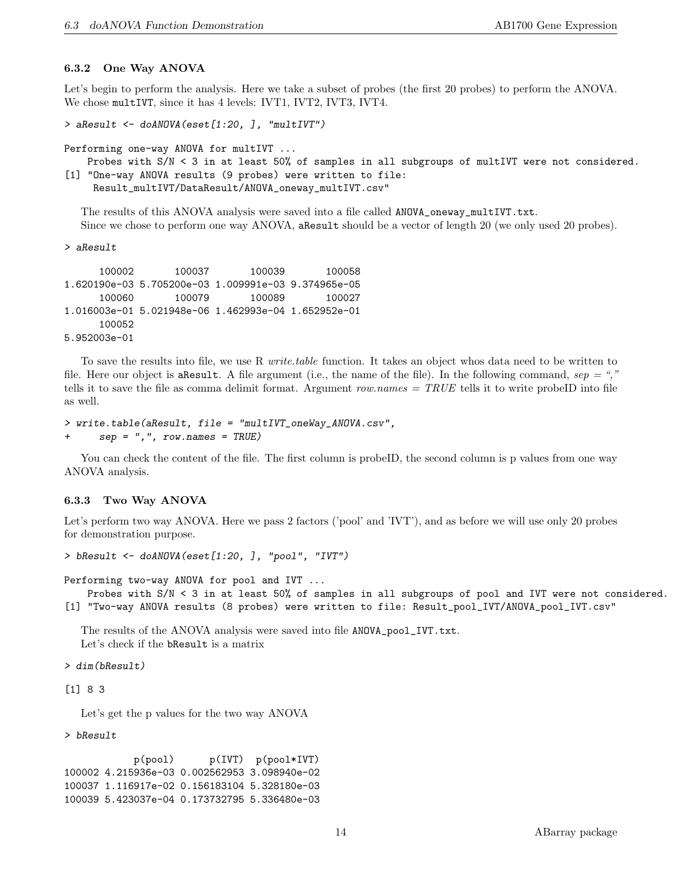#### 6.3.2 One Way ANOVA

Let's begin to perform the analysis. Here we take a subset of probes (the first 20 probes) to perform the ANOVA. We chose multIVT, since it has 4 levels: IVT1, IVT2, IVT3, IVT4.

```
> aResult <- doANOVA(eset[1:20, ], "multIVT")
```

```
Performing one-way ANOVA for multIVT ...
```
Probes with S/N < 3 in at least 50% of samples in all subgroups of multIVT were not considered. [1] "One-way ANOVA results (9 probes) were written to file: Result\_multIVT/DataResult/ANOVA\_oneway\_multIVT.csv"

The results of this ANOVA analysis were saved into a file called ANOVA\_oneway\_multIVT.txt. Since we chose to perform one way ANOVA, aResult should be a vector of length 20 (we only used 20 probes).

> aResult

100002 100037 100039 100058 1.620190e-03 5.705200e-03 1.009991e-03 9.374965e-05 100060 100079 100089 100027 1.016003e-01 5.021948e-06 1.462993e-04 1.652952e-01 100052 5.952003e-01

To save the results into file, we use R *write.table* function. It takes an object whos data need to be written to file. Here our object is are sult. A file argument (i.e., the name of the file). In the following command,  $sep = ","$ tells it to save the file as comma delimit format. Argument row.names  $= TRUE$  tells it to write probeID into file as well.

```
> write.table(aResult, file = "multIVT_oneWay_ANOVA.csv",
+ sep = ",", row.names = TRUE)
```
You can check the content of the file. The first column is probeID, the second column is p values from one way ANOVA analysis.

### 6.3.3 Two Way ANOVA

Let's perform two way ANOVA. Here we pass 2 factors ('pool' and 'IVT'), and as before we will use only 20 probes for demonstration purpose.

> bResult <- doANOVA(eset[1:20, ], "pool", "IVT")

Performing two-way ANOVA for pool and IVT ...

```
Probes with S/N < 3 in at least 50% of samples in all subgroups of pool and IVT were not considered.
[1] "Two-way ANOVA results (8 probes) were written to file: Result_pool_IVT/ANOVA_pool_IVT.csv"
```
The results of the ANOVA analysis were saved into file ANOVA\_pool\_IVT.txt. Let's check if the bResult is a matrix

> dim(bResult)

[1] 8 3

Let's get the p values for the two way ANOVA

> bResult

p(pool) p(IVT) p(pool\*IVT) 100002 4.215936e-03 0.002562953 3.098940e-02 100037 1.116917e-02 0.156183104 5.328180e-03 100039 5.423037e-04 0.173732795 5.336480e-03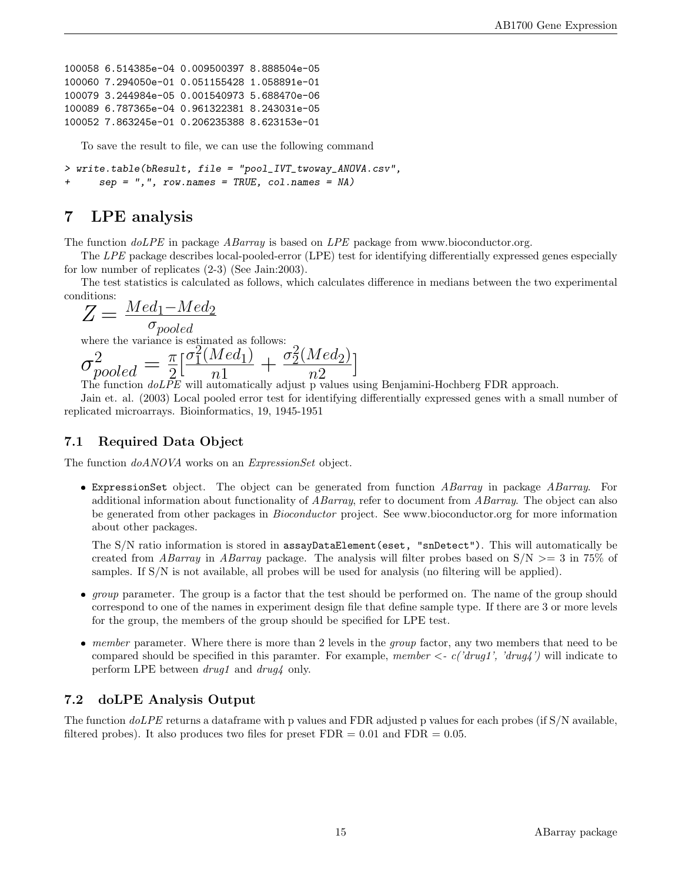```
100058 6.514385e-04 0.009500397 8.888504e-05
100060 7.294050e-01 0.051155428 1.058891e-01
100079 3.244984e-05 0.001540973 5.688470e-06
100089 6.787365e-04 0.961322381 8.243031e-05
100052 7.863245e-01 0.206235388 8.623153e-01
```
To save the result to file, we can use the following command

> write.table(bResult, file = "pool\_IVT\_twoway\_ANOVA.csv",  $sep = ","$ , row.names = TRUE, col.names = NA)

# 7 LPE analysis

The function  $doLPE$  in package ABarray is based on LPE package from www.bioconductor.org.

The LPE package describes local-pooled-error (LPE) test for identifying differentially expressed genes especially for low number of replicates (2-3) (See Jain:2003).

The test statistics is calculated as follows, which calculates difference in medians between the two experimental conditions:

$$
Z = \frac{Med_1 - Med_2}{q_{\text{model}}}
$$

σpooled where the variance is estimated as follows:

$$
\sigma_{pooled}^2 = \frac{\pi}{2} \left[ \frac{\sigma_1^2 (Med_1)}{n1} + \frac{\sigma_2^2 (Med_2)}{n2} \right]
$$
  
The function *doLPE* will automatically adjust p values using Benjamin-Hochberg FDR approach.

Jain et. al. (2003) Local pooled error test for identifying differentially expressed genes with a small number of replicated microarrays. Bioinformatics, 19, 1945-1951

## 7.1 Required Data Object

The function  $doANOVA$  works on an *ExpressionSet* object.

**ExpressionSet** object. The object can be generated from function ABarray in package ABarray. For additional information about functionality of ABarray, refer to document from ABarray. The object can also be generated from other packages in Bioconductor project. See www.bioconductor.org for more information about other packages.

The S/N ratio information is stored in assayDataElement(eset, "snDetect"). This will automatically be created from ABarray in ABarray package. The analysis will filter probes based on  $S/N \geq 3$  in 75% of samples. If S/N is not available, all probes will be used for analysis (no filtering will be applied).

- $\bullet$  group parameter. The group is a factor that the test should be performed on. The name of the group should correspond to one of the names in experiment design file that define sample type. If there are 3 or more levels for the group, the members of the group should be specified for LPE test.
- $\bullet$  member parameter. Where there is more than 2 levels in the *group* factor, any two members that need to be compared should be specified in this paramter. For example, member  $\langle -c'(drug1', 'drug4') \rangle$  will indicate to perform LPE between drug1 and drug4 only.

## 7.2 doLPE Analysis Output

The function  $doLPE$  returns a dataframe with p values and FDR adjusted p values for each probes (if S/N available, filtered probes). It also produces two files for preset  $FDR = 0.01$  and  $FDR = 0.05$ .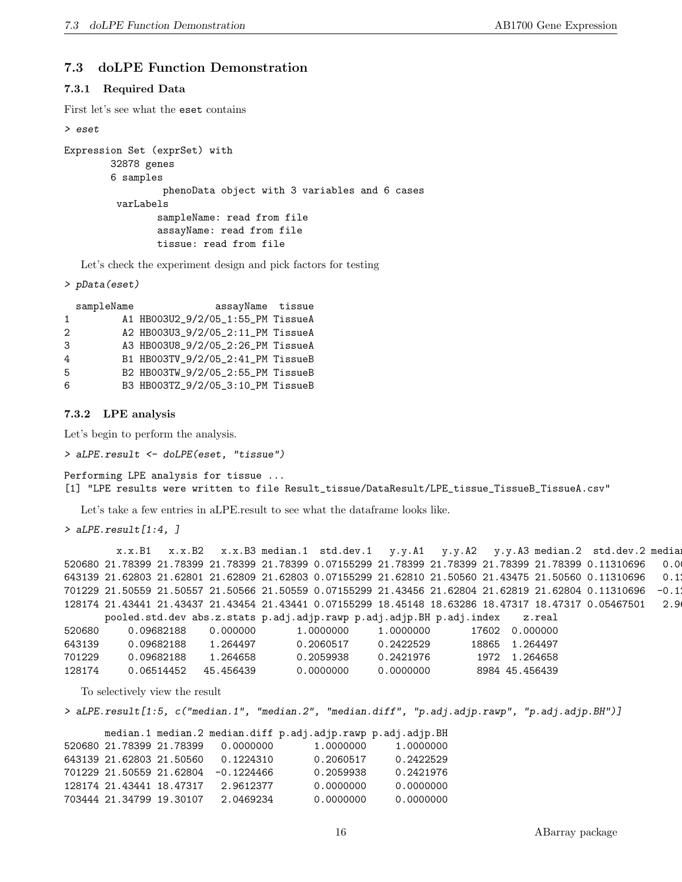### 7.3 doLPE Function Demonstration

### 7.3.1 Required Data

First let's see what the eset contains

```
> eset
Expression Set (exprSet) with
        32878 genes
        6 samples
                 phenoData object with 3 variables and 6 cases
         varLabels
                sampleName: read from file
                assayName: read from file
                tissue: read from file
```
Let's check the experiment design and pick factors for testing

```
> pData(eset)
```

|                                   | assayName tissue |
|-----------------------------------|------------------|
| A1 HB003U2_9/2/05_1:55_PM TissueA |                  |
| A2 HB003U3_9/2/05_2:11_PM TissueA |                  |
| A3 HB003U8_9/2/05_2:26_PM TissueA |                  |
| B1 HB003TV_9/2/05_2:41_PM TissueB |                  |
| B2 HB003TW_9/2/05_2:55_PM TissueB |                  |
| B3 HB003TZ_9/2/05_3:10_PM TissueB |                  |
|                                   |                  |

7.3.2 LPE analysis

Let's begin to perform the analysis.

```
> aLPE.result <- doLPE(eset, "tissue")
```

```
Performing LPE analysis for tissue ...
[1] "LPE results were written to file Result_tissue/DataResult/LPE_tissue_TissueB_TissueA.csv"
```
Let's take a few entries in aLPE.result to see what the dataframe looks like.

 $> aLPE. result [1:4, 7]$ 

x.x.B1 x.x.B2 x.x.B3 median.1 std.dev.1 y.y.A1 y.y.A2 y.y.A3 median.2 std.dev.2 media 520680 21.78399 21.78399 21.78399 21.78399 0.07155299 21.78399 21.78399 21.78399 21.78399 0.11310696 0.0000000 643139 21.62803 21.62801 21.62809 21.62803 0.07155299 21.62810 21.50560 21.43475 21.50560 0.11310696 0.1 701229 21.50559 21.50557 21.50566 21.50559 0.07155299 21.43456 21.62804 21.62819 21.62804 0.11310696 -0.1 128174 21.43441 21.43437 21.43454 21.43441 0.07155299 18.45148 18.63286 18.47317 18.47317 0.05467501 2.9612377 pooled.std.dev abs.z.stats p.adj.adjp.rawp p.adj.adjp.BH p.adj.index z.real 520680 0.09682188 0.000000 1.0000000 1.0000000 17602 0.000000 643139 0.09682188 1.264497 0.2060517 0.2422529 18865 1.264497 701229 0.09682188 1.264658 0.2059938 0.2421976 1972 1.264658 128174 0.06514452 45.456439 0.0000000 0.0000000 8984 45.456439

To selectively view the result

> aLPE.result[1:5, c("median.1", "median.2", "median.diff", "p.adj.adjp.rawp", "p.adj.adjp.BH")]

|                          |                          |              | median.1 median.2 median.diff p.adj.adjp.rawp p.adj.adjp.BH |           |
|--------------------------|--------------------------|--------------|-------------------------------------------------------------|-----------|
| 520680 21.78399 21.78399 |                          | 0.0000000    | 1.0000000                                                   | 1.0000000 |
| 643139 21.62803 21.50560 |                          | 0.1224310    | 0.2060517                                                   | 0.2422529 |
|                          | 701229 21.50559 21.62804 | $-0.1224466$ | 0.2059938                                                   | 0.2421976 |
| 128174 21.43441 18.47317 |                          | 2.9612377    | 0.0000000                                                   | 0.0000000 |
| 703444 21.34799 19.30107 |                          | 2.0469234    | 0.0000000                                                   | 0.0000000 |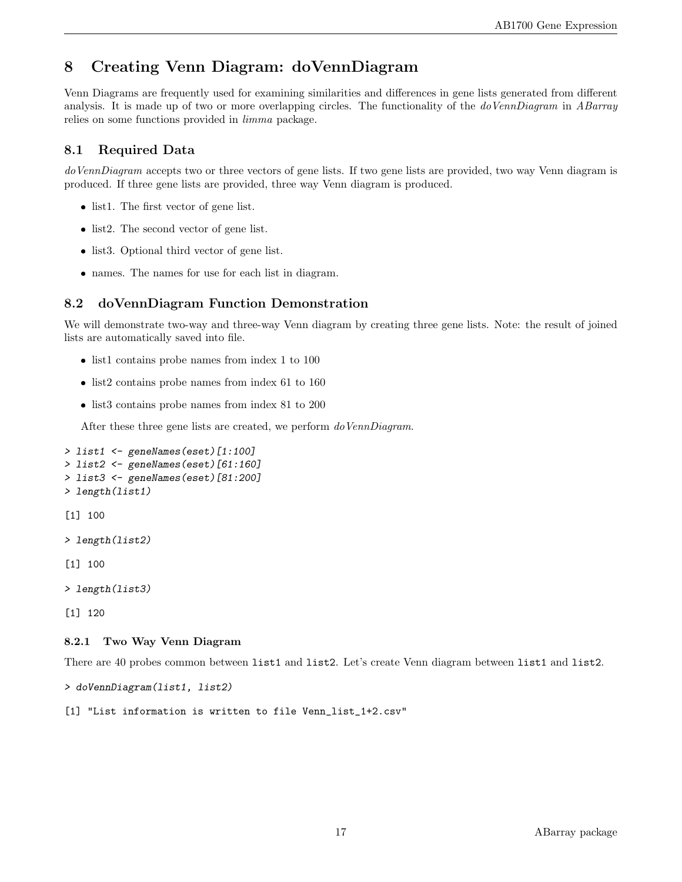# 8 Creating Venn Diagram: doVennDiagram

Venn Diagrams are frequently used for examining similarities and differences in gene lists generated from different analysis. It is made up of two or more overlapping circles. The functionality of the *doVennDiagram* in *ABarray* relies on some functions provided in limma package.

# 8.1 Required Data

doVennDiagram accepts two or three vectors of gene lists. If two gene lists are provided, two way Venn diagram is produced. If three gene lists are provided, three way Venn diagram is produced.

- list1. The first vector of gene list.
- list2. The second vector of gene list.
- list3. Optional third vector of gene list.
- names. The names for use for each list in diagram.

# 8.2 doVennDiagram Function Demonstration

We will demonstrate two-way and three-way Venn diagram by creating three gene lists. Note: the result of joined lists are automatically saved into file.

- list1 contains probe names from index 1 to 100
- list2 contains probe names from index 61 to 160
- list3 contains probe names from index 81 to 200

After these three gene lists are created, we perform do VennDiagram.

```
> list1 <- geneNames(eset)[1:100]
> list2 <- geneNames(eset)[61:160]
> list3 <- geneNames(eset)[81:200]
> length(list1)
[1] 100
> length(list2)
[1] 100
> length(list3)
[1] 120
8.2.1 Two Way Venn Diagram
```
There are 40 probes common between list1 and list2. Let's create Venn diagram between list1 and list2.

> doVennDiagram(list1, list2)

[1] "List information is written to file Venn\_list\_1+2.csv"